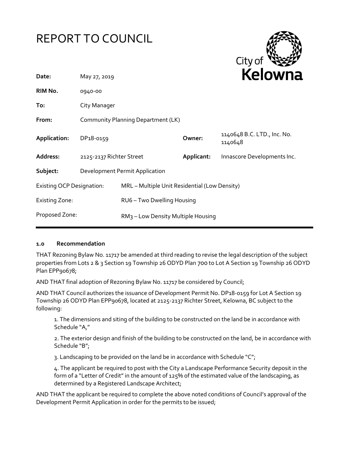# REPORT TO COUNCIL



| May 27, 2019                                                                      |                                                |                          | REIUWIId                               |
|-----------------------------------------------------------------------------------|------------------------------------------------|--------------------------|----------------------------------------|
| 0940-00                                                                           |                                                |                          |                                        |
| City Manager                                                                      |                                                |                          |                                        |
| Community Planning Department (LK)                                                |                                                |                          |                                        |
| DP18-0159                                                                         |                                                | Owner:                   | 1140648 B.C. LTD., Inc. No.<br>1140648 |
|                                                                                   |                                                | Applicant:               | Innascore Developments Inc.            |
| Development Permit Application                                                    |                                                |                          |                                        |
| <b>Existing OCP Designation:</b><br>MRL - Multiple Unit Residential (Low Density) |                                                |                          |                                        |
| <b>Existing Zone:</b>                                                             |                                                |                          |                                        |
|                                                                                   | RM <sub>3</sub> – Low Density Multiple Housing |                          |                                        |
|                                                                                   |                                                | 2125-2137 Richter Street | RU6 - Two Dwelling Housing             |

### **1.0 Recommendation**

THAT Rezoning Bylaw No. 11717 be amended at third reading to revise the legal description of the subject properties from Lots 2 & 3 Section 19 Township 26 ODYD Plan 700 to Lot A Section 19 Township 26 ODYD Plan EPP90678;

AND THAT final adoption of Rezoning Bylaw No. 11717 be considered by Council;

AND THAT Council authorizes the issuance of Development Permit No. DP18-0159 for Lot A Section 19 Township 26 ODYD Plan EPP90678, located at 2125-2137 Richter Street, Kelowna, BC subject to the following:

1. The dimensions and siting of the building to be constructed on the land be in accordance with Schedule "A,"

2. The exterior design and finish of the building to be constructed on the land, be in accordance with Schedule "B";

3. Landscaping to be provided on the land be in accordance with Schedule "C";

4. The applicant be required to post with the City a Landscape Performance Security deposit in the form of a "Letter of Credit" in the amount of 125% of the estimated value of the landscaping, as determined by a Registered Landscape Architect;

AND THAT the applicant be required to complete the above noted conditions of Council's approval of the Development Permit Application in order for the permits to be issued;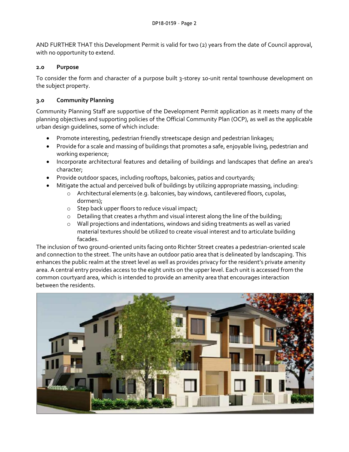AND FURTHER THAT this Development Permit is valid for two (2) years from the date of Council approval, with no opportunity to extend.

### **2.0 Purpose**

To consider the form and character of a purpose built 3-storey 10-unit rental townhouse development on the subject property.

# **3.0 Community Planning**

Community Planning Staff are supportive of the Development Permit application as it meets many of the planning objectives and supporting policies of the Official Community Plan (OCP), as well as the applicable urban design guidelines, some of which include:

- Promote interesting, pedestrian friendly streetscape design and pedestrian linkages;
- Provide for a scale and massing of buildings that promotes a safe, enjoyable living, pedestrian and working experience;
- Incorporate architectural features and detailing of buildings and landscapes that define an area's character;
- Provide outdoor spaces, including rooftops, balconies, patios and courtyards;
- Mitigate the actual and perceived bulk of buildings by utilizing appropriate massing, including:
	- o Architectural elements (e.g. balconies, bay windows, cantilevered floors, cupolas, dormers);
	- o Step back upper floors to reduce visual impact;
	- o Detailing that creates a rhythm and visual interest along the line of the building;
	- $\circ$  Wall projections and indentations, windows and siding treatments as well as varied material textures should be utilized to create visual interest and to articulate building facades.

The inclusion of two ground-oriented units facing onto Richter Street creates a pedestrian-oriented scale and connection to the street. The units have an outdoor patio area that is delineated by landscaping. This enhances the public realm at the street level as well as provides privacy for the resident's private amenity area. A central entry provides access to the eight units on the upper level. Each unit is accessed from the common courtyard area, which is intended to provide an amenity area that encourages interaction between the residents.

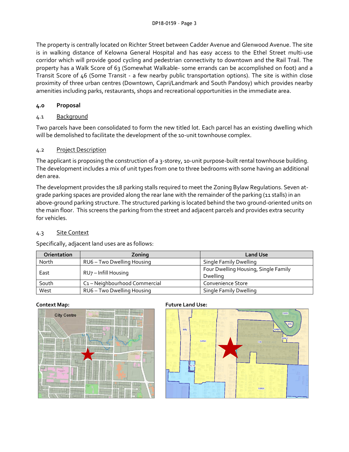The property is centrally located on Richter Street between Cadder Avenue and Glenwood Avenue. The site is in walking distance of Kelowna General Hospital and has easy access to the Ethel Street multi-use corridor which will provide good cycling and pedestrian connectivity to downtown and the Rail Trail. The property has a Walk Score of 63 (Somewhat Walkable- some errands can be accomplished on foot) and a Transit Score of 46 (Some Transit - a few nearby public transportation options). The site is within close proximity of three urban centres (Downtown, Capri/Landmark and South Pandosy) which provides nearby amenities including parks, restaurants, shops and recreational opportunities in the immediate area.

# **4.0 Proposal**

# 4.1 Background

Two parcels have been consolidated to form the new titled lot. Each parcel has an existing dwelling which will be demolished to facilitate the development of the 10-unit townhouse complex.

# 4.2 Project Description

The applicant is proposing the construction of a 3-storey, 10-unit purpose-built rental townhouse building. The development includes a mix of unit types from one to three bedrooms with some having an additional den area.

The development provides the 18 parking stalls required to meet the Zoning Bylaw Regulations. Seven atgrade parking spaces are provided along the rear lane with the remainder of the parking (11 stalls) in an above-ground parking structure. The structured parking is located behind the two ground-oriented units on the main floor. This screens the parking from the street and adjacent parcels and provides extra security for vehicles.

# 4.3 Site Context

Specifically, adjacent land uses are as follows:

| <b>Orientation</b> | Zoning                      | <b>Land Use</b>                      |
|--------------------|-----------------------------|--------------------------------------|
| North              | RU6 - Two Dwelling Housing  | <b>Single Family Dwelling</b>        |
| East               |                             | Four Dwelling Housing, Single Family |
|                    | RU7 - Infill Housing        | Dwelling                             |
| South              | C1-Neighbourhood Commercial | Convenience Store                    |
| West               | RU6 - Two Dwelling Housing  | <b>Single Family Dwelling</b>        |



# **Context Map: Future Land Use:**

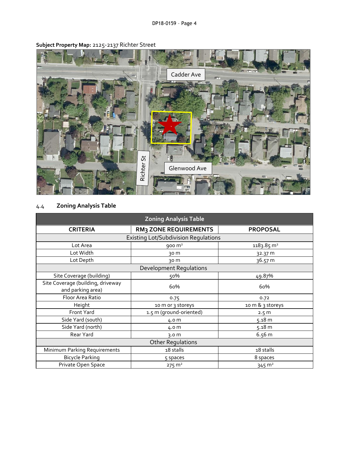

**Subject Property Map:** 2125-2137 Richter Street

# 4.4 **Zoning Analysis Table**

| <b>Zoning Analysis Table</b>                           |                              |                       |  |  |
|--------------------------------------------------------|------------------------------|-----------------------|--|--|
| <b>CRITERIA</b>                                        | <b>RM3 ZONE REQUIREMENTS</b> | <b>PROPOSAL</b>       |  |  |
| <b>Existing Lot/Subdivision Regulations</b>            |                              |                       |  |  |
| Lot Area                                               | $900 \text{ m}^2$            | $1183.85 \text{ m}^2$ |  |  |
| Lot Width                                              | 30 m                         | 32.37 m               |  |  |
| Lot Depth                                              | 30 m                         | 36.57 m               |  |  |
| <b>Development Regulations</b>                         |                              |                       |  |  |
| Site Coverage (building)                               | 50%                          | 49.87%                |  |  |
| Site Coverage (building, driveway<br>and parking area) | 60%                          | 60%                   |  |  |
| Floor Area Ratio                                       | 0.75                         | 0.72                  |  |  |
| Height                                                 | 10 m or 3 storeys            | 10 m & 3 storeys      |  |  |
| Front Yard                                             | 1.5 m (ground-oriented)      | 2.5 m                 |  |  |
| Side Yard (south)                                      | 4.0 m                        | 5.18 m                |  |  |
| Side Yard (north)                                      | 4.0 m                        | 5.18 m                |  |  |
| Rear Yard                                              | 3.0 <sub>m</sub>             | 6.56 m                |  |  |
| <b>Other Regulations</b>                               |                              |                       |  |  |
| Minimum Parking Requirements                           | 18 stalls                    | 18 stalls             |  |  |
| <b>Bicycle Parking</b>                                 | 5 spaces                     | 8 spaces              |  |  |
| Private Open Space                                     | $275 \text{ m}^2$            | $345 \text{ m}^2$     |  |  |